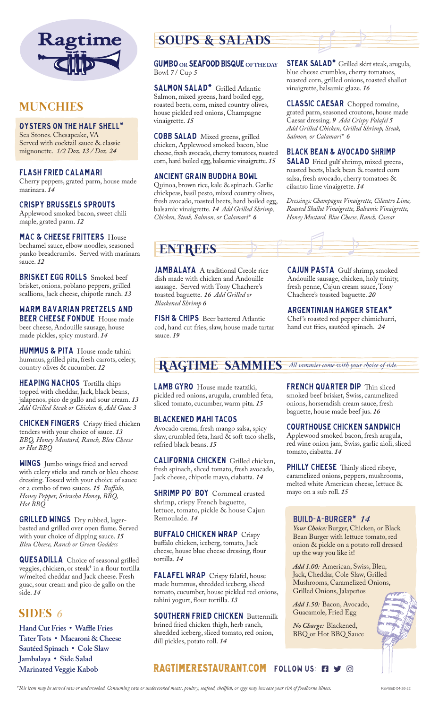

### **MUNCHIES**

#### Oysters on the Half Shell\*

Sea Stones. Chesapeake, VA Served with cocktail sauce & classic mignonette. *1/2 Doz. 13 / Doz. 24*

#### Flash Fried Calamari

Cherry peppers, grated parm, house made marinara. *14*

#### Crispy Brussels Sprouts

Applewood smoked bacon, sweet chili maple, grated parm. *12*

#### MAC & CHEESE FRITTERS House

bechamel sauce, elbow noodles, seasoned panko breadcrumbs. Served with marinara sauce. *12*

BRISKET EGG ROLLS Smoked beef brisket, onions, poblano peppers, grilled scallions, Jack cheese, chipotle ranch. *13*

### WARM BAVARIAN PRETZELS AND BEER CHEESE FONDUE House made

beer cheese, Andouille sausage, house made pickles, spicy mustard. *14*

HUMMUS & PITA House made tahini hummus, grilled pita, fresh carrots, celery, country olives & cucumber. *12*

HEAPING NACHOS Tortilla chips topped with cheddar, Jack, black beans, jalapenos, pico de gallo and sour cream. *13 Add Grilled Steak or Chicken 6, Add Guac 3*

CHICKEN FINGERS Crispy fried chicken tenders with your choice of sauce. *13 BBQ, Honey Mustard, Ranch, Bleu Cheese or Hot BBQ*

WINGS Jumbo wings fried and served with celery sticks and ranch or bleu cheese dressing. Tossed with your choice of sauce or a combo of two sauces. *15 Buffalo, Honey Pepper, Sriracha Honey, BBQ, Hot BBQ*

GRILLED WINGS Dry rubbed, lagerbasted and grilled over open flame. Served with your choice of dipping sauce. *15 Bleu Cheese, Ranch or Green Goddess*

**QUESADILLA** Choice of seasonal grilled veggies, chicken, or steak\* in a flour tortilla w/melted cheddar and Jack cheese. Fresh guac, sour cream and pico de gallo on the side. *14*

### SIDES *6*

**Hand Cut Fries • Waffle Fries Tater Tots • Macaroni & Cheese Sautéed Spinach • Cole Slaw Jambalaya • Side Salad Marinated Veggie Kabob**

# SOUPS & SALADS

#### GUMBO **OR** Seafood Bisque **OF THE DAY** Bowl *7* / Cup *5*

SALMON SALAD<sup>\*</sup> Grilled Atlantic Salmon, mixed greens, hard boiled egg, roasted beets, corn, mixed country olives, house pickled red onions, Champagne vinaigrette. *15*

COBB SALAD Mixed greens, grilled chicken, Applewood smoked bacon, blue cheese, fresh avocado, cherry tomatoes, roasted corn, hard boiled egg, balsamic vinaigrette. *15*

#### ANCIENT GRAIN BUDDHA BOWL

Quinoa, brown rice, kale & spinach. Garlic chickpeas, basil pesto, mixed country olives, fresh avocado, roasted beets, hard boiled egg, balsamic vinaigrette. *14 Add Grilled Shrimp, Chicken, Steak, Salmon, or Calamari\* 6*

STEAK SALAD<sup>\*</sup> Grilled skirt steak, arugula, blue cheese crumbles, cherry tomatoes, roasted corn, grilled onions, roasted shallot vinaigrette, balsamic glaze. *16*

CLASSIC CAESAR Chopped romaine, grated parm, seasoned croutons, house made Caesar dressing. *9 Add Crispy Falafel 5 Add Grilled Chicken, Grilled Shrimp, Steak, Salmon, or Calamari\* 6*

#### BLACK BEAN & AVOCADO SHRIMP

**SALAD** Fried gulf shrimp, mixed greens, roasted beets, black bean & roasted corn salsa, fresh avocado, cherry tomatoes & cilantro lime vinaigrette. *14*

*Dressings: Champagne Vinaigrette, Cilantro Lime, Roasted Shallot Vinaigrette, Balsamic Vinaigrette, Honey Mustard, Blue Cheese, Ranch, Caesar*

# ENTREES

JAMBALAYA A traditional Creole rice dish made with chicken and Andouille sausage. Served with Tony Chachere's toasted baguette. *16 Add Grilled or Blackened Shrimp 6*

FISH & CHIPS Beer battered Atlantic cod, hand cut fries, slaw, house made tartar sauce. *19*

CAJUN PASTA Gulf shrimp, smoked Andouille sausage, chicken, holy trinity, fresh penne, Cajun cream sauce, Tony Chachere's toasted baguette. *20*

#### ARGENTINIAN HANGER STEAK\*

Chef 's roasted red pepper chimichurri, hand cut fries, sautéed spinach. *24*

# RAGTIME SAMMIES *All sammies come with your choice of side.*

LAMB GYRO House made tzatziki, pickled red onions, arugula, crumbled feta, sliced tomato, cucumber, warm pita. *15*

#### Blackened Mahi Tacos

Avocado crema, fresh mango salsa, spicy slaw, crumbled feta, hard & soft taco shells, refried black beans. *15*

CALIFORNIA CHICKEN Grilled chicken, fresh spinach, sliced tomato, fresh avocado, Jack cheese, chipotle mayo, ciabatta. *14*

**SHRIMP PO' BOY** Cornmeal crusted shrimp, crispy French baguette, lettuce, tomato, pickle & house Cajun Remoulade. *14*

Buffalo Chicken Wrap Crispy buffalo chicken, iceberg, tomato, Jack cheese, house blue cheese dressing, flour tortilla. *14*

FALAFEL WRAP Crispy falafel, house made hummus, shredded iceberg, sliced tomato, cucumber, house pickled red onions, tahini yogurt, flour tortilla. *13*

SOUTHERN FRIED CHICKEN Buttermilk brined fried chicken thigh, herb ranch, shredded iceberg, sliced tomato, red onion, dill pickles, potato roll. *14*

FRENCH QUARTER DIP Thin sliced smoked beef brisket, Swiss, caramelized onions, horseradish cream sauce, fresh baguette, house made beef jus. *16*

#### Courthouse Chicken Sandwich

Applewood smoked bacon, fresh arugula, red wine onion jam, Swiss, garlic aioli, sliced tomato, ciabatta. *14*

PHILLY CHEESE Thinly sliced ribeye, caramelized onions, peppers, mushrooms, melted white American cheese, lettuce & mayo on a sub roll. *15*

#### Build-A-Burger\* *14*

*Your Choice:* Burger, Chicken, or Black Bean Burger with lettuce tomato, red onion & pickle on a potato roll dressed up the way you like it!

*Add 1.00:* American, Swiss, Bleu, Jack, Cheddar, Cole Slaw, Grilled Mushrooms, Caramelized Onions, Grilled Onions, Jalapeños

*Add 1.50:* Bacon, Avocado, Guacamole, Fried Egg

*No Charge:* Blackened, BBQ or Hot BBQ Sauce



**RAGTIMERESTAURANT.COM FOLLOW US: FACEBOOK**